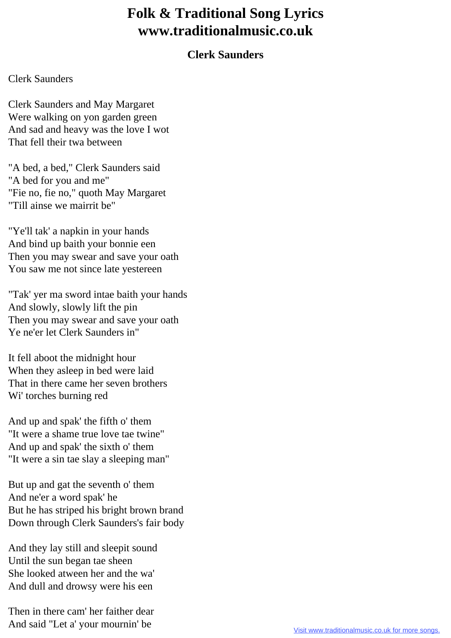## **Folk & Traditional Song Lyrics www.traditionalmusic.co.uk**

## **Clerk Saunders**

## Clerk Saunders

Clerk Saunders and May Margaret Were walking on yon garden green And sad and heavy was the love I wot That fell their twa between

"A bed, a bed," Clerk Saunders said "A bed for you and me" "Fie no, fie no," quoth May Margaret "Till ainse we mairrit be"

"Ye'll tak' a napkin in your hands And bind up baith your bonnie een Then you may swear and save your oath You saw me not since late yestereen

"Tak' yer ma sword intae baith your hands And slowly, slowly lift the pin Then you may swear and save your oath Ye ne'er let Clerk Saunders in"

It fell aboot the midnight hour When they asleep in bed were laid That in there came her seven brothers Wi' torches burning red

And up and spak' the fifth o' them "It were a shame true love tae twine" And up and spak' the sixth o' them "It were a sin tae slay a sleeping man"

But up and gat the seventh o' them And ne'er a word spak' he But he has striped his bright brown brand Down through Clerk Saunders's fair body

And they lay still and sleepit sound Until the sun began tae sheen She looked atween her and the wa' And dull and drowsy were his een

Then in there cam' her faither dear And said "Let a' your mournin' be